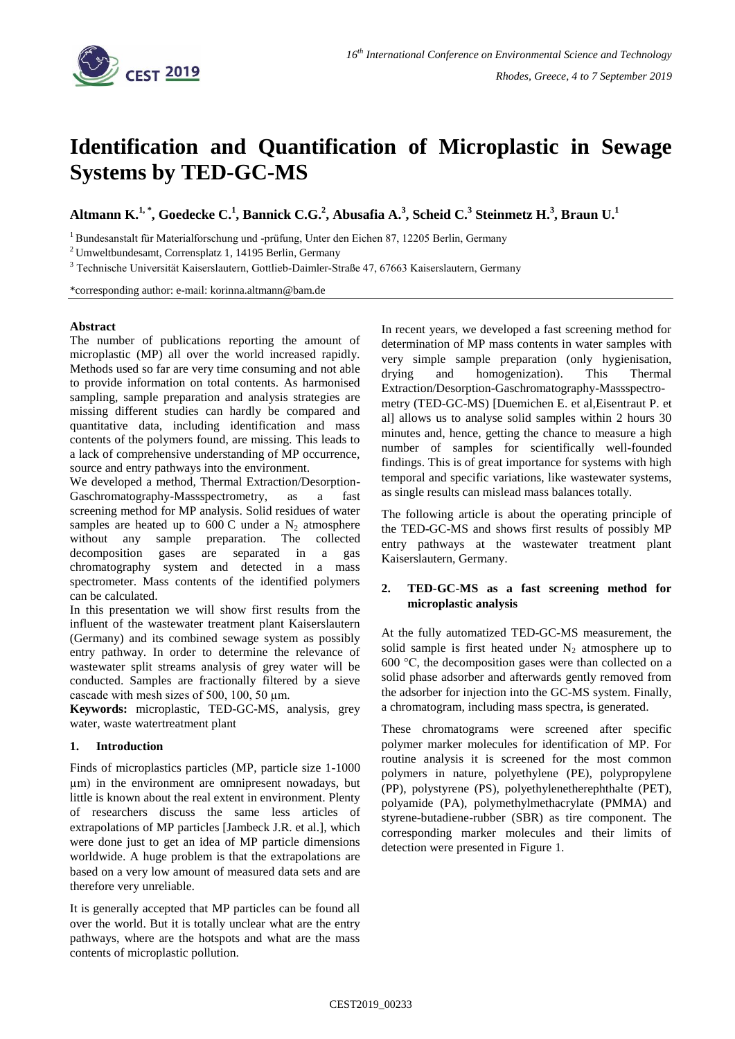

# **Identification and Quantification of Microplastic in Sewage Systems by TED-GC-MS**

**Altmann K. 1, \*, Goedecke C. 1 , Bannick C.G.<sup>2</sup> , Abusafia A.<sup>3</sup> , Scheid C.<sup>3</sup> Steinmetz H.<sup>3</sup> , Braun U. 1**

<sup>1</sup> Bundesanstalt für Materialforschung und -prüfung, Unter den Eichen 87, 12205 Berlin, Germany

<sup>2</sup>Umweltbundesamt, Corrensplatz 1, 14195 Berlin, Germany

<sup>3</sup> Technische Universität Kaiserslautern, Gottlieb-Daimler-Straße 47, 67663 Kaiserslautern, Germany

\*corresponding author: e-mail: korinna.altmann@bam.de

#### **Abstract**

The number of publications reporting the amount of microplastic (MP) all over the world increased rapidly. Methods used so far are very time consuming and not able to provide information on total contents. As harmonised sampling, sample preparation and analysis strategies are missing different studies can hardly be compared and quantitative data, including identification and mass contents of the polymers found, are missing. This leads to a lack of comprehensive understanding of MP occurrence, source and entry pathways into the environment.

We developed a method, Thermal Extraction/Desorption-Gaschromatography-Massspectrometry, as a fast screening method for MP analysis. Solid residues of water samples are heated up to 600 C under a  $N_2$  atmosphere without any sample preparation. The collected decomposition gases are separated in a gas chromatography system and detected in a mass spectrometer. Mass contents of the identified polymers can be calculated.

In this presentation we will show first results from the influent of the wastewater treatment plant Kaiserslautern (Germany) and its combined sewage system as possibly entry pathway. In order to determine the relevance of wastewater split streams analysis of grey water will be conducted. Samples are fractionally filtered by a sieve cascade with mesh sizes of 500, 100, 50 µm.

**Keywords:** microplastic, TED-GC-MS, analysis, grey water, waste watertreatment plant

### **1. Introduction**

Finds of microplastics particles (MP, particle size 1-1000 µm) in the environment are omnipresent nowadays, but little is known about the real extent in environment. Plenty of researchers discuss the same less articles of extrapolations of MP particles [Jambeck J.R. et al.], which were done just to get an idea of MP particle dimensions worldwide. A huge problem is that the extrapolations are based on a very low amount of measured data sets and are therefore very unreliable.

It is generally accepted that MP particles can be found all over the world. But it is totally unclear what are the entry pathways, where are the hotspots and what are the mass contents of microplastic pollution.

In recent years, we developed a fast screening method for determination of MP mass contents in water samples with very simple sample preparation (only hygienisation, drying and homogenization). This Thermal Extraction/Desorption-Gaschromatography-Massspectrometry (TED-GC-MS) [Duemichen E. et al,Eisentraut P. et al] allows us to analyse solid samples within 2 hours 30 minutes and, hence, getting the chance to measure a high number of samples for scientifically well-founded findings. This is of great importance for systems with high temporal and specific variations, like wastewater systems, as single results can mislead mass balances totally.

The following article is about the operating principle of the TED-GC-MS and shows first results of possibly MP entry pathways at the wastewater treatment plant Kaiserslautern, Germany.

### **2. TED-GC-MS as a fast screening method for microplastic analysis**

At the fully automatized TED-GC-MS measurement, the solid sample is first heated under  $N_2$  atmosphere up to 600 °C, the decomposition gases were than collected on a solid phase adsorber and afterwards gently removed from the adsorber for injection into the GC-MS system. Finally, a chromatogram, including mass spectra, is generated.

These chromatograms were screened after specific polymer marker molecules for identification of MP. For routine analysis it is screened for the most common polymers in nature, polyethylene (PE), polypropylene (PP), polystyrene (PS), polyethylenetherephthalte (PET), polyamide (PA), polymethylmethacrylate (PMMA) and styrene-butadiene-rubber (SBR) as tire component. The corresponding marker molecules and their limits of detection were presented in Figure 1.